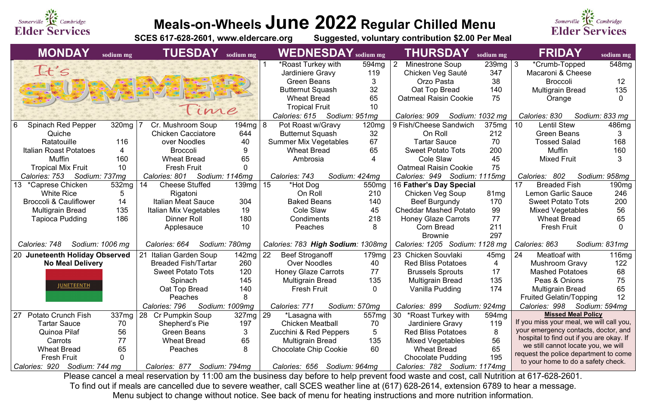

# **Meals-on-Wheels June 2022 Regular Chilled Menu**

**Suggested, voluntary contribution \$2.00 Per Meal** 

To find out if meals are cancelled due to severe weather, call SCES weather line at (617) 628-2614, extension 6789 to hear a message. Menu subject to change without notice. See back of menu for heating instructions and more nutrition information.



| <b>MONDAY</b>                                                                                                                             | sodium mg         | <b>TUESDAY</b>              | sodium mg      | $WEDNESDAY$ sodium mg             |                   | <b>THURSDAY</b>                | sodium mg         | <b>FRIDAY</b>                                                         | sodium mg      |
|-------------------------------------------------------------------------------------------------------------------------------------------|-------------------|-----------------------------|----------------|-----------------------------------|-------------------|--------------------------------|-------------------|-----------------------------------------------------------------------|----------------|
|                                                                                                                                           |                   |                             |                | *Roast Turkey with                | 594 <sub>mg</sub> | Minestrone Soup                | $239mg$ 3         | *Crumb-Topped                                                         | 548mg          |
| It's                                                                                                                                      |                   |                             |                | Jardiniere Gravy                  | 119               | Chicken Veg Sauté              | 347               | Macaroni & Cheese                                                     |                |
|                                                                                                                                           |                   |                             |                | <b>Green Beans</b>                |                   | Orzo Pasta                     | 38                | <b>Broccoli</b>                                                       | 12             |
|                                                                                                                                           |                   |                             |                | <b>Butternut Squash</b>           | 32                | Oat Top Bread                  | 140               | <b>Multigrain Bread</b>                                               | 135            |
|                                                                                                                                           |                   |                             |                | <b>Wheat Bread</b>                | 65                | <b>Oatmeal Raisin Cookie</b>   | 75                | Orange                                                                |                |
|                                                                                                                                           |                   | Time                        |                | <b>Tropical Fruit</b>             | 10                |                                |                   |                                                                       |                |
|                                                                                                                                           |                   |                             |                | Calories: 615<br>Sodium: 951mg    |                   | Calories: 909                  | Sodium: 1032 mg   | Calories: 830                                                         | Sodium: 833 mg |
| 6<br><b>Spinach Red Pepper</b>                                                                                                            | 320mg             | Cr. Mushroom Soup           | $194mg \mid 8$ | Pot Roast w/Gravy                 | 120mg             | 9 Fish/Cheese Sandwich         | 375mg             | <b>Lentil Stew</b><br>10                                              | 486mg          |
| Quiche                                                                                                                                    |                   | <b>Chicken Cacciatore</b>   | 644            | <b>Butternut Squash</b>           | 32                | On Roll                        | 212               | <b>Green Beans</b>                                                    |                |
| Ratatouille                                                                                                                               | 116               | over Noodles                | 40             | <b>Summer Mix Vegetables</b>      | 67                | <b>Tartar Sauce</b>            | 70                | <b>Tossed Salad</b>                                                   | 168            |
| <b>Italian Roast Potatoes</b>                                                                                                             | 4                 | <b>Broccoli</b>             | 9              | <b>Wheat Bread</b>                | 65                | <b>Sweet Potato Tots</b>       | 200               | <b>Muffin</b>                                                         | 160            |
| <b>Muffin</b>                                                                                                                             | 160               | <b>Wheat Bread</b>          | 65             | Ambrosia                          |                   | Cole Slaw                      | 45                | <b>Mixed Fruit</b>                                                    |                |
| <b>Tropical Mix Fruit</b>                                                                                                                 | 10                | <b>Fresh Fruit</b>          |                |                                   |                   | <b>Oatmeal Raisin Cookie</b>   | 75                |                                                                       |                |
| Calories: 753                                                                                                                             | Sodium: 737mg     | Calories: 801               | Sodium: 1146mg | Calories: 743                     | Sodium: 424mg     | Calories: 949 Sodium: 1115mg   |                   | 802<br>Calories:                                                      | Sodium: 958mg  |
| 13 *Caprese Chicken                                                                                                                       | 532 <sub>mg</sub> | <b>Cheese Stuffed</b><br>14 | 139mg   15     | *Hot Dog                          | 550 <sub>mg</sub> | 16 Father's Day Special        |                   | 17<br><b>Breaded Fish</b>                                             | 190mg          |
| <b>White Rice</b>                                                                                                                         | 5                 | Rigatoni                    |                | On Roll                           | 210               | Chicken Veg Soup               | 81 <sub>mg</sub>  | <b>Lemon Garlic Sauce</b>                                             | 246            |
| <b>Broccoli &amp; Cauliflower</b>                                                                                                         | 14                | <b>Italian Meat Sauce</b>   | 304            | <b>Baked Beans</b>                | 140               | <b>Beef Burgundy</b>           | 170               | <b>Sweet Potato Tots</b>                                              | 200            |
| <b>Multigrain Bread</b>                                                                                                                   | 135               | Italian Mix Vegetables      | 19             | Cole Slaw                         | 45                | <b>Cheddar Mashed Potato</b>   | 99                | <b>Mixed Vegetables</b>                                               | 56             |
| <b>Tapioca Pudding</b>                                                                                                                    | 186               | <b>Dinner Roll</b>          | 180            | Condiments                        | 218               | <b>Honey Glaze Carrots</b>     | 77                | <b>Wheat Bread</b>                                                    | 65             |
|                                                                                                                                           |                   | Applesauce                  | 10             | <b>Peaches</b>                    | 8                 | <b>Corn Bread</b>              | 211               | <b>Fresh Fruit</b>                                                    |                |
|                                                                                                                                           |                   |                             |                |                                   |                   | <b>Brownie</b>                 | 297               |                                                                       |                |
| Calories: 748                                                                                                                             | Sodium: 1006 mg   | Calories: 664               | Sodium: 780mg  | Calories: 783 High Sodium: 1308mg |                   | Calories: 1205 Sodium: 1128 mg |                   | Calories: 863                                                         | Sodium: 831mg  |
| 20 Juneteenth Holiday Observed                                                                                                            |                   | Italian Garden Soup         | $142mg$ 22     | <b>Beef Stroganoff</b>            | 179mg             | 23 Chicken Souvlaki            | 45mg              | 24<br>Meatloaf with                                                   | 116mg          |
| <b>No Meal Delivery</b>                                                                                                                   |                   | <b>Breaded Fish/Tartar</b>  | 260            | <b>Over Noodles</b>               | 40                | <b>Red Bliss Potatoes</b>      | 4                 | <b>Mushroom Gravy</b>                                                 | 122            |
|                                                                                                                                           |                   | <b>Sweet Potato Tots</b>    | 120            | <b>Honey Glaze Carrots</b>        | 77                | <b>Brussels Sprouts</b>        | 17                | <b>Mashed Potatoes</b>                                                | 68             |
| <u>JUNETEENTH</u>                                                                                                                         |                   | Spinach                     | 145            | <b>Multigrain Bread</b>           | 135               | <b>Multigrain Bread</b>        | 135               | Peas & Onions                                                         | 75             |
|                                                                                                                                           |                   | Oat Top Bread               | 140            | <b>Fresh Fruit</b>                | $\mathbf 0$       | Vanilla Pudding                | 174               | <b>Multigrain Bread</b>                                               | 65             |
|                                                                                                                                           |                   | Peaches                     | 8              |                                   |                   |                                |                   | <b>Fruited Gelatin/Topping</b>                                        | 12             |
|                                                                                                                                           |                   | Calories: 796               | Sodium: 1009mg | Calories: 771                     | Sodium: 570mg     | Calories: 899                  | Sodium: 924mg     | Calories: 998                                                         | Sodium: 594mg  |
| <b>Potato Crunch Fish</b><br>27                                                                                                           | 337mg             | 28 Cr Pumpkin Soup          | $327mg$ 29     | *Lasagna with                     | 557 <sub>mg</sub> | 30<br>*Roast Turkey with       | 594 <sub>mg</sub> | <b>Missed Meal Policy</b><br>If you miss your meal, we will call you, |                |
| <b>Tartar Sauce</b>                                                                                                                       | 70                | Shepherd's Pie              | 197            | <b>Chicken Meatball</b>           | 70                | Jardiniere Gravy               | 119               | your emergency contacts, doctor, and                                  |                |
| Quinoa Pilaf                                                                                                                              | 56                | <b>Green Beans</b>          | 3              | Zucchini & Red Peppers            | $\mathbf{b}$      | <b>Red Bliss Potatoes</b>      | 8                 | hospital to find out if you are okay. If                              |                |
| Carrots                                                                                                                                   | 77                | <b>Wheat Bread</b>          | 65             | <b>Multigrain Bread</b>           | 135               | <b>Mixed Vegetables</b>        | 56                | we still cannot locate you, we will                                   |                |
| <b>Wheat Bread</b>                                                                                                                        | 65                | Peaches                     | 8              | <b>Chocolate Chip Cookie</b>      | 60                | <b>Wheat Bread</b>             | 65                | request the police department to come                                 |                |
| <b>Fresh Fruit</b>                                                                                                                        |                   |                             |                |                                   |                   | <b>Chocolate Pudding</b>       | 195               | to your home to do a safety check.                                    |                |
| Calories: 920<br>Sodium: 744 mg<br>Sodium: 794mg<br>Calories: 782<br>Sodium: 1174mg<br>Calories: 656<br>Sodium: 964mg<br>Calories: 877    |                   |                             |                |                                   |                   |                                |                   |                                                                       |                |
| Please cancel a meal reservation by 11:00 am the business day before to help prevent food waste and cost, call Nutrition at 617-628-2601. |                   |                             |                |                                   |                   |                                |                   |                                                                       |                |